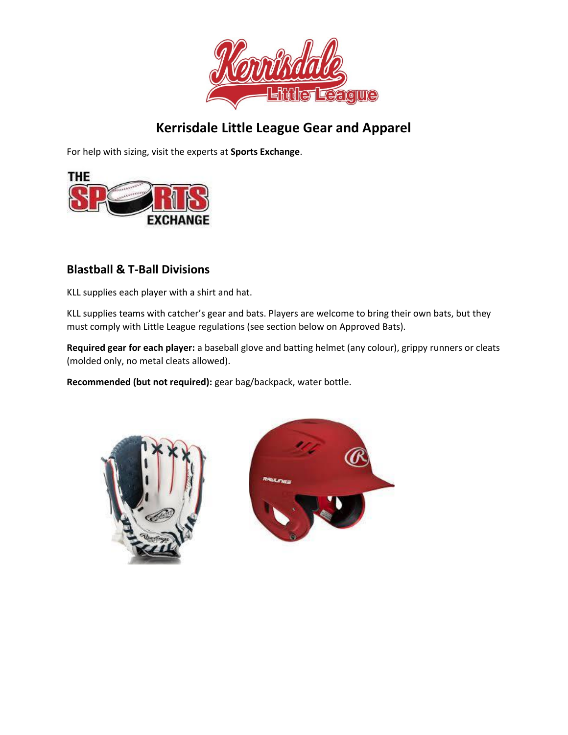

# **Kerrisdale Little League Gear and Apparel**

For help with sizing, visit the experts at **Sports Exchange**.



## **Blastball & T-Ball Divisions**

KLL supplies each player with a shirt and hat.

KLL supplies teams with catcher's gear and bats. Players are welcome to bring their own bats, but they must comply with Little League regulations (see section below on Approved Bats).

**Required gear for each player:** a baseball glove and batting helmet (any colour), grippy runners or cleats (molded only, no metal cleats allowed).

**Recommended (but not required):** gear bag/backpack, water bottle.



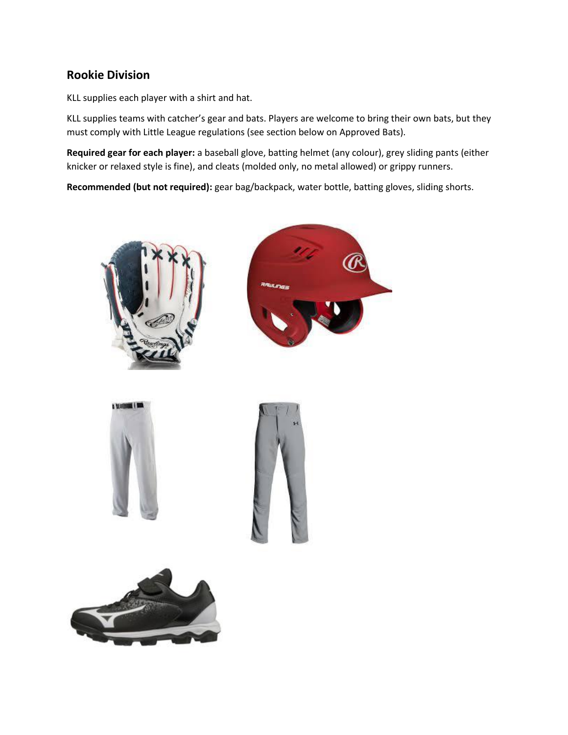#### **Rookie Division**

KLL supplies each player with a shirt and hat.

KLL supplies teams with catcher's gear and bats. Players are welcome to bring their own bats, but they must comply with Little League regulations (see section below on Approved Bats).

**Required gear for each player:** a baseball glove, batting helmet (any colour), grey sliding pants (either knicker or relaxed style is fine), and cleats (molded only, no metal allowed) or grippy runners.

**Recommended (but not required):** gear bag/backpack, water bottle, batting gloves, sliding shorts.









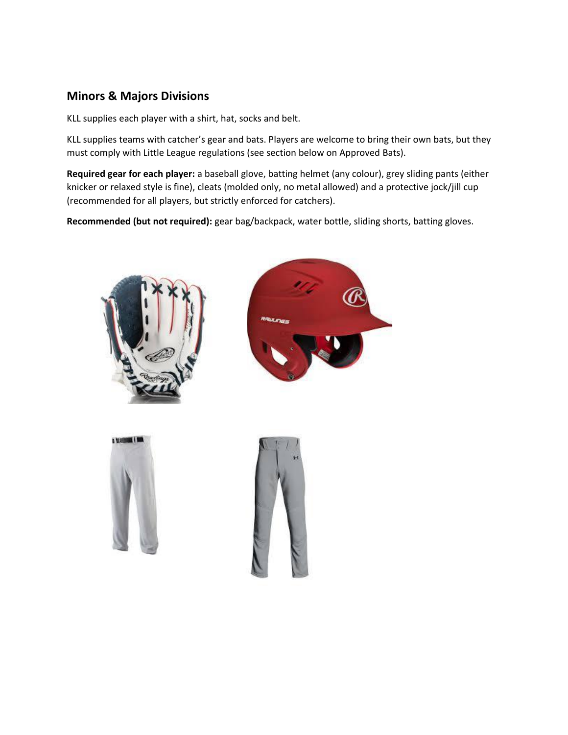# **Minors & Majors Divisions**

KLL supplies each player with a shirt, hat, socks and belt.

KLL supplies teams with catcher's gear and bats. Players are welcome to bring their own bats, but they must comply with Little League regulations (see section below on Approved Bats).

**Required gear for each player:** a baseball glove, batting helmet (any colour), grey sliding pants (either knicker or relaxed style is fine), cleats (molded only, no metal allowed) and a protective jock/jill cup (recommended for all players, but strictly enforced for catchers).

**Recommended (but not required):** gear bag/backpack, water bottle, sliding shorts, batting gloves.